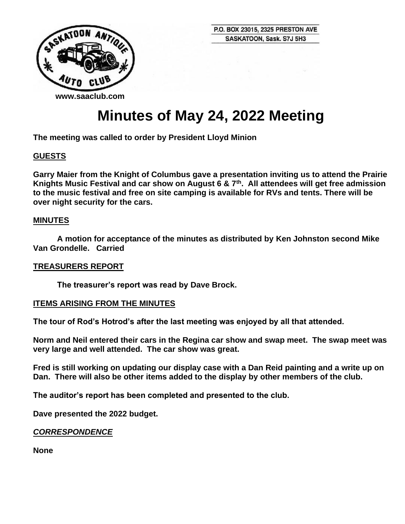

# **Minutes of May 24, 2022 Meeting**

**The meeting was called to order by President Lloyd Minion**

# **GUESTS**

**Garry Maier from the Knight of Columbus gave a presentation inviting us to attend the Prairie Knights Music Festival and car show on August 6 & 7th. All attendees will get free admission to the music festival and free on site camping is available for RVs and tents. There will be over night security for the cars.**

#### **MINUTES**

**A motion for acceptance of the minutes as distributed by Ken Johnston second Mike Van Grondelle. Carried**

#### **TREASURERS REPORT**

**The treasurer's report was read by Dave Brock.** 

#### **ITEMS ARISING FROM THE MINUTES**

**The tour of Rod's Hotrod's after the last meeting was enjoyed by all that attended.**

**Norm and Neil entered their cars in the Regina car show and swap meet. The swap meet was very large and well attended. The car show was great.**

**Fred is still working on updating our display case with a Dan Reid painting and a write up on Dan. There will also be other items added to the display by other members of the club.**

**The auditor's report has been completed and presented to the club.**

**Dave presented the 2022 budget.**

#### *CORRESPONDENCE*

**None**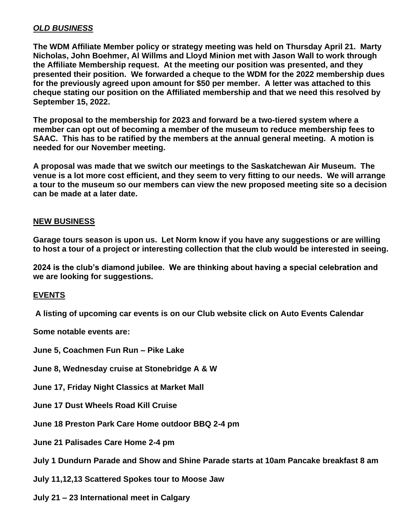# *OLD BUSINESS*

**The WDM Affiliate Member policy or strategy meeting was held on Thursday April 21. Marty Nicholas, John Boehmer, Al Willms and Lloyd Minion met with Jason Wall to work through the Affiliate Membership request. At the meeting our position was presented, and they presented their position. We forwarded a cheque to the WDM for the 2022 membership dues for the previously agreed upon amount for \$50 per member. A letter was attached to this cheque stating our position on the Affiliated membership and that we need this resolved by September 15, 2022.**

**The proposal to the membership for 2023 and forward be a two-tiered system where a member can opt out of becoming a member of the museum to reduce membership fees to SAAC. This has to be ratified by the members at the annual general meeting. A motion is needed for our November meeting.**

**A proposal was made that we switch our meetings to the Saskatchewan Air Museum. The venue is a lot more cost efficient, and they seem to very fitting to our needs. We will arrange a tour to the museum so our members can view the new proposed meeting site so a decision can be made at a later date.**

#### **NEW BUSINESS**

**Garage tours season is upon us. Let Norm know if you have any suggestions or are willing to host a tour of a project or interesting collection that the club would be interested in seeing.**

**2024 is the club's diamond jubilee. We are thinking about having a special celebration and we are looking for suggestions.** 

#### **EVENTS**

**A listing of upcoming car events is on our Club website click on Auto Events Calendar**

**Some notable events are:**

**June 5, Coachmen Fun Run – Pike Lake**

**June 8, Wednesday cruise at Stonebridge A & W**

**June 17, Friday Night Classics at Market Mall**

**June 17 Dust Wheels Road Kill Cruise**

**June 18 Preston Park Care Home outdoor BBQ 2-4 pm**

**June 21 Palisades Care Home 2-4 pm**

**July 1 Dundurn Parade and Show and Shine Parade starts at 10am Pancake breakfast 8 am**

**July 11,12,13 Scattered Spokes tour to Moose Jaw**

**July 21 – 23 International meet in Calgary**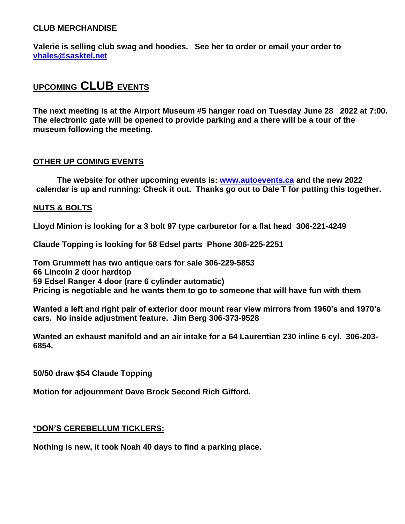# **CLUB MERCHANDISE**

**Valerie is selling club swag and hoodies. See her to order or email your order to [vhales@sasktel.net](mailto:vhales@sasktel.net)**

# **UPCOMING CLUB EVENTS**

**The next meeting is at the Airport Museum #5 hanger road on Tuesday June 28 2022 at 7:00. The electronic gate will be opened to provide parking and a there will be a tour of the museum following the meeting.** 

# **OTHER UP COMING EVENTS**

**The website for other upcoming events is: [www.autoevents.ca](http://www.autoevents.ca/) and the new 2022 calendar is up and running: Check it out. Thanks go out to Dale T for putting this together.**

# **NUTS & BOLTS**

**Lloyd Minion is looking for a 3 bolt 97 type carburetor for a flat head 306-221-4249**

**Claude Topping is looking for 58 Edsel parts Phone 306-225-2251**

**Tom Grummett has two antique cars for sale 306-229-5853 66 Lincoln 2 door hardtop 59 Edsel Ranger 4 door (rare 6 cylinder automatic) Pricing is negotiable and he wants them to go to someone that will have fun with them**

**Wanted a left and right pair of exterior door mount rear view mirrors from 1960's and 1970's cars. No inside adjustment feature. Jim Berg 306-373-9528**

**Wanted an exhaust manifold and an air intake for a 64 Laurentian 230 inline 6 cyl. 306-203- 6854.**

**50/50 draw \$54 Claude Topping**

**Motion for adjournment Dave Brock Second Rich Gifford.**

#### **\*DON'S CEREBELLUM TICKLERS:**

**Nothing is new, it took Noah 40 days to find a parking place.**